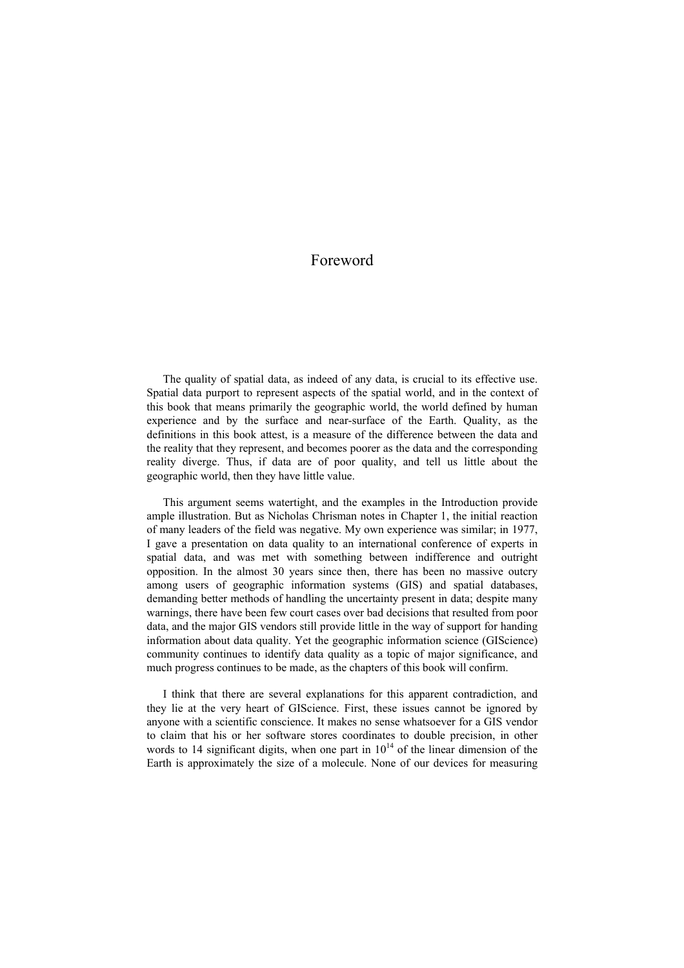## Foreword

The quality of spatial data, as indeed of any data, is crucial to its effective use. Spatial data purport to represent aspects of the spatial world, and in the context of this book that means primarily the geographic world, the world defined by human experience and by the surface and near-surface of the Earth. Quality, as the definitions in this book attest, is a measure of the difference between the data and the reality that they represent, and becomes poorer as the data and the corresponding reality diverge. Thus, if data are of poor quality, and tell us little about the geographic world, then they have little value.

This argument seems watertight, and the examples in the Introduction provide ample illustration. But as Nicholas Chrisman notes in Chapter 1, the initial reaction of many leaders of the field was negative. My own experience was similar; in 1977, I gave a presentation on data quality to an international conference of experts in spatial data, and was met with something between indifference and outright opposition. In the almost 30 years since then, there has been no massive outcry among users of geographic information systems (GIS) and spatial databases, demanding better methods of handling the uncertainty present in data; despite many warnings, there have been few court cases over bad decisions that resulted from poor data, and the major GIS vendors still provide little in the way of support for handing information about data quality. Yet the geographic information science (GIScience) community continues to identify data quality as a topic of major significance, and much progress continues to be made, as the chapters of this book will confirm.

I think that there are several explanations for this apparent contradiction, and they lie at the very heart of GIScience. First, these issues cannot be ignored by anyone with a scientific conscience. It makes no sense whatsoever for a GIS vendor to claim that his or her software stores coordinates to double precision, in other words to 14 significant digits, when one part in  $10^{14}$  of the linear dimension of the Earth is approximately the size of a molecule. None of our devices for measuring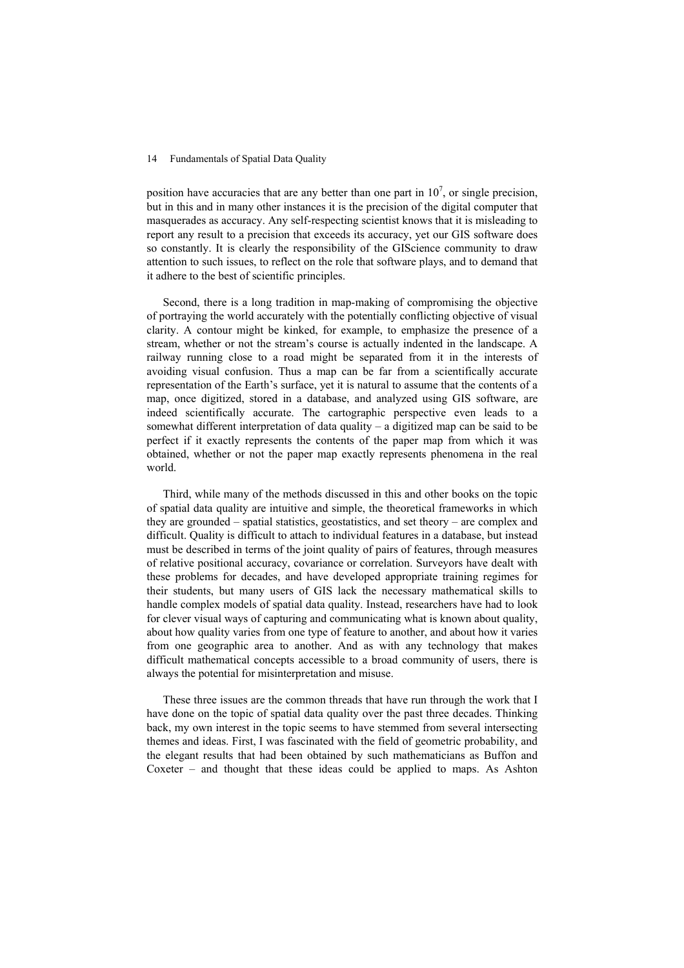position have accuracies that are any better than one part in  $10^7$ , or single precision, but in this and in many other instances it is the precision of the digital computer that masquerades as accuracy. Any self-respecting scientist knows that it is misleading to report any result to a precision that exceeds its accuracy, yet our GIS software does so constantly. It is clearly the responsibility of the GIScience community to draw attention to such issues, to reflect on the role that software plays, and to demand that it adhere to the best of scientific principles.

Second, there is a long tradition in map-making of compromising the objective of portraying the world accurately with the potentially conflicting objective of visual clarity. A contour might be kinked, for example, to emphasize the presence of a stream, whether or not the stream's course is actually indented in the landscape. A railway running close to a road might be separated from it in the interests of avoiding visual confusion. Thus a map can be far from a scientifically accurate representation of the Earth's surface, yet it is natural to assume that the contents of a map, once digitized, stored in a database, and analyzed using GIS software, are indeed scientifically accurate. The cartographic perspective even leads to a somewhat different interpretation of data quality – a digitized map can be said to be perfect if it exactly represents the contents of the paper map from which it was obtained, whether or not the paper map exactly represents phenomena in the real world.

Third, while many of the methods discussed in this and other books on the topic of spatial data quality are intuitive and simple, the theoretical frameworks in which they are grounded – spatial statistics, geostatistics, and set theory – are complex and difficult. Quality is difficult to attach to individual features in a database, but instead must be described in terms of the joint quality of pairs of features, through measures of relative positional accuracy, covariance or correlation. Surveyors have dealt with these problems for decades, and have developed appropriate training regimes for their students, but many users of GIS lack the necessary mathematical skills to handle complex models of spatial data quality. Instead, researchers have had to look for clever visual ways of capturing and communicating what is known about quality, about how quality varies from one type of feature to another, and about how it varies from one geographic area to another. And as with any technology that makes difficult mathematical concepts accessible to a broad community of users, there is always the potential for misinterpretation and misuse.

These three issues are the common threads that have run through the work that I have done on the topic of spatial data quality over the past three decades. Thinking back, my own interest in the topic seems to have stemmed from several intersecting themes and ideas. First, I was fascinated with the field of geometric probability, and the elegant results that had been obtained by such mathematicians as Buffon and Coxeter – and thought that these ideas could be applied to maps. As Ashton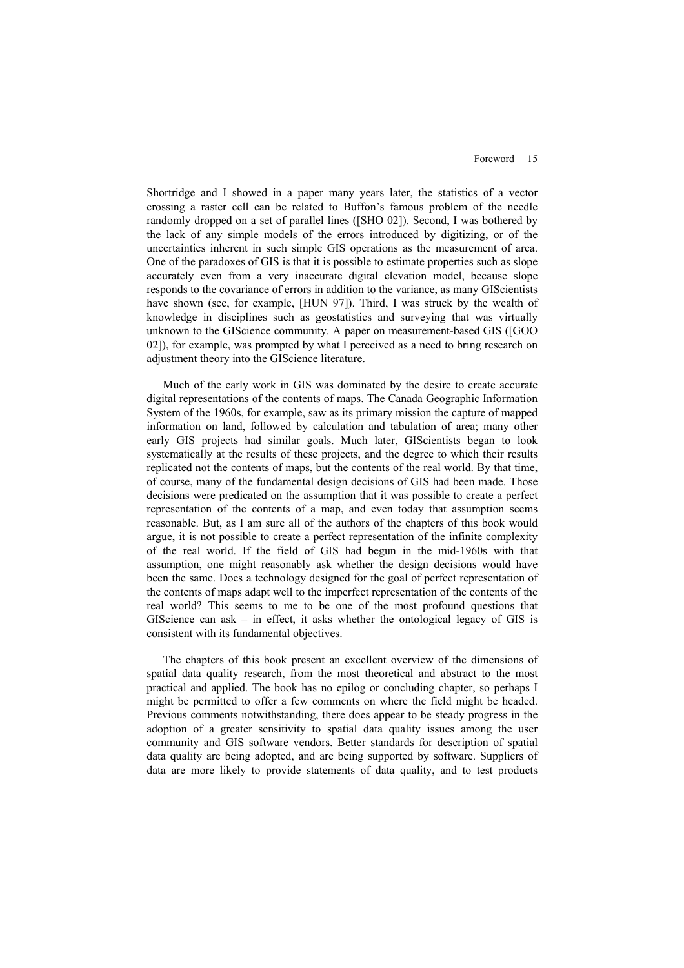Shortridge and I showed in a paper many years later, the statistics of a vector crossing a raster cell can be related to Buffon's famous problem of the needle randomly dropped on a set of parallel lines ([SHO 02]). Second, I was bothered by the lack of any simple models of the errors introduced by digitizing, or of the uncertainties inherent in such simple GIS operations as the measurement of area. One of the paradoxes of GIS is that it is possible to estimate properties such as slope accurately even from a very inaccurate digital elevation model, because slope responds to the covariance of errors in addition to the variance, as many GIScientists have shown (see, for example, [HUN 97]). Third, I was struck by the wealth of knowledge in disciplines such as geostatistics and surveying that was virtually unknown to the GIScience community. A paper on measurement-based GIS ([GOO 02]), for example, was prompted by what I perceived as a need to bring research on adjustment theory into the GIScience literature.

Much of the early work in GIS was dominated by the desire to create accurate digital representations of the contents of maps. The Canada Geographic Information System of the 1960s, for example, saw as its primary mission the capture of mapped information on land, followed by calculation and tabulation of area; many other early GIS projects had similar goals. Much later, GIScientists began to look systematically at the results of these projects, and the degree to which their results replicated not the contents of maps, but the contents of the real world. By that time, of course, many of the fundamental design decisions of GIS had been made. Those decisions were predicated on the assumption that it was possible to create a perfect representation of the contents of a map, and even today that assumption seems reasonable. But, as I am sure all of the authors of the chapters of this book would argue, it is not possible to create a perfect representation of the infinite complexity of the real world. If the field of GIS had begun in the mid-1960s with that assumption, one might reasonably ask whether the design decisions would have been the same. Does a technology designed for the goal of perfect representation of the contents of maps adapt well to the imperfect representation of the contents of the real world? This seems to me to be one of the most profound questions that GIScience can ask – in effect, it asks whether the ontological legacy of GIS is consistent with its fundamental objectives.

The chapters of this book present an excellent overview of the dimensions of spatial data quality research, from the most theoretical and abstract to the most practical and applied. The book has no epilog or concluding chapter, so perhaps I might be permitted to offer a few comments on where the field might be headed. Previous comments notwithstanding, there does appear to be steady progress in the adoption of a greater sensitivity to spatial data quality issues among the user community and GIS software vendors. Better standards for description of spatial data quality are being adopted, and are being supported by software. Suppliers of data are more likely to provide statements of data quality, and to test products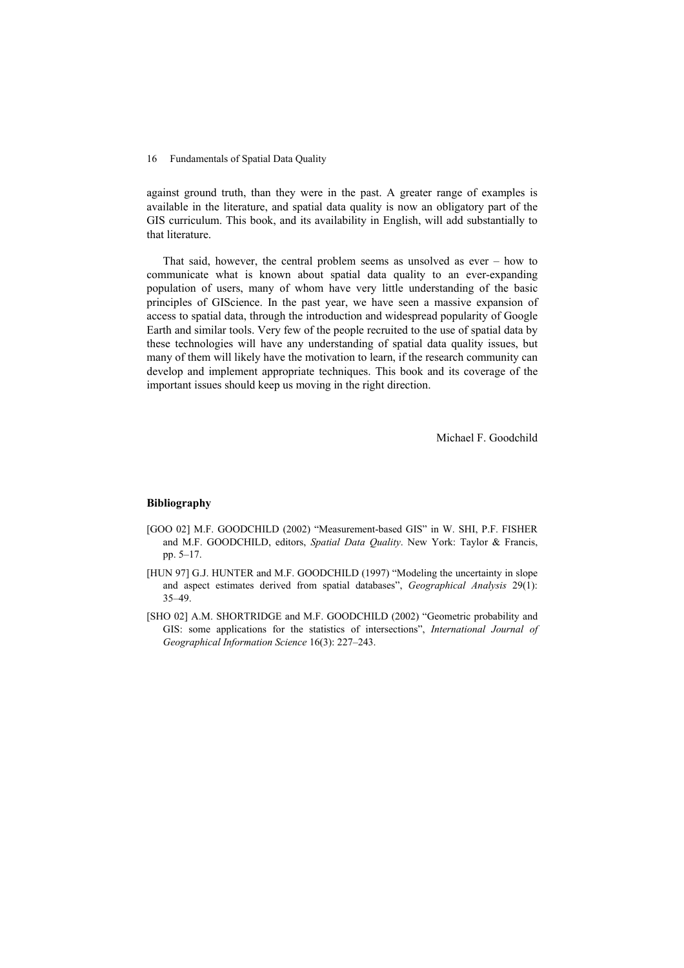against ground truth, than they were in the past. A greater range of examples is available in the literature, and spatial data quality is now an obligatory part of the GIS curriculum. This book, and its availability in English, will add substantially to that literature.

That said, however, the central problem seems as unsolved as ever – how to communicate what is known about spatial data quality to an ever-expanding population of users, many of whom have very little understanding of the basic principles of GIScience. In the past year, we have seen a massive expansion of access to spatial data, through the introduction and widespread popularity of Google Earth and similar tools. Very few of the people recruited to the use of spatial data by these technologies will have any understanding of spatial data quality issues, but many of them will likely have the motivation to learn, if the research community can develop and implement appropriate techniques. This book and its coverage of the important issues should keep us moving in the right direction.

Michael F. Goodchild

### **Bibliography**

- [GOO 02] M.F. GOODCHILD (2002) "Measurement-based GIS" in W. SHI, P.F. FISHER and M.F. GOODCHILD, editors, *Spatial Data Quality*. New York: Taylor & Francis, pp. 5–17.
- [HUN 97] G.J. HUNTER and M.F. GOODCHILD (1997) "Modeling the uncertainty in slope and aspect estimates derived from spatial databases", *Geographical Analysis* 29(1): 35–49.
- [SHO 02] A.M. SHORTRIDGE and M.F. GOODCHILD (2002) "Geometric probability and GIS: some applications for the statistics of intersections", *International Journal of Geographical Information Science* 16(3): 227–243.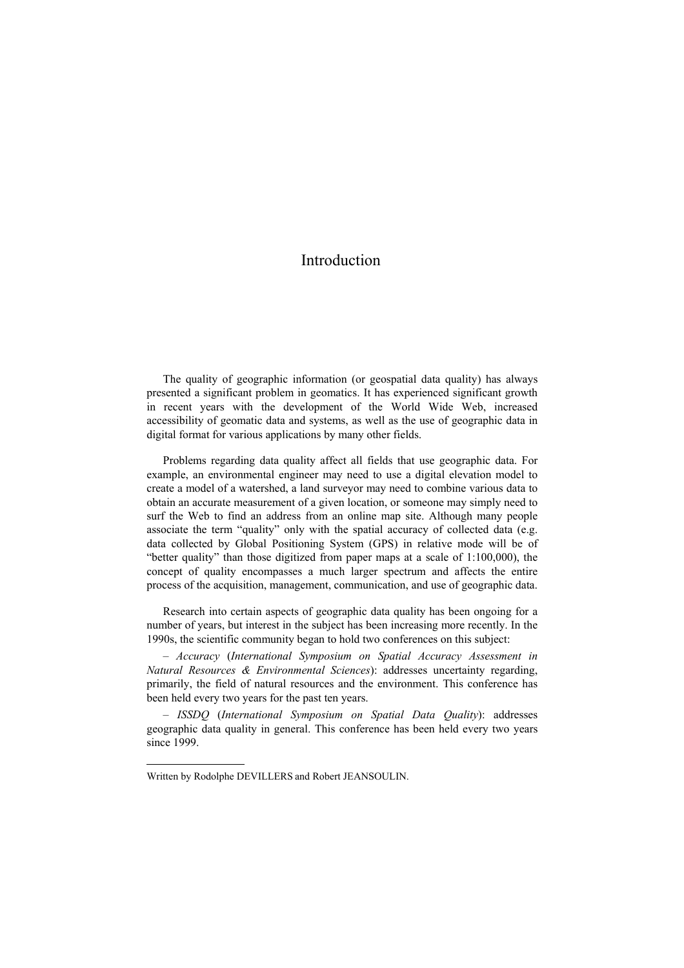# Introduction

The quality of geographic information (or geospatial data quality) has always presented a significant problem in geomatics. It has experienced significant growth in recent years with the development of the World Wide Web, increased accessibility of geomatic data and systems, as well as the use of geographic data in digital format for various applications by many other fields.

Problems regarding data quality affect all fields that use geographic data. For example, an environmental engineer may need to use a digital elevation model to create a model of a watershed, a land surveyor may need to combine various data to obtain an accurate measurement of a given location, or someone may simply need to surf the Web to find an address from an online map site. Although many people associate the term "quality" only with the spatial accuracy of collected data (e.g. data collected by Global Positioning System (GPS) in relative mode will be of "better quality" than those digitized from paper maps at a scale of 1:100,000), the concept of quality encompasses a much larger spectrum and affects the entire process of the acquisition, management, communication, and use of geographic data.

Research into certain aspects of geographic data quality has been ongoing for a number of years, but interest in the subject has been increasing more recently. In the 1990s, the scientific community began to hold two conferences on this subject:

– *Accuracy* (*International Symposium on Spatial Accuracy Assessment in Natural Resources & Environmental Sciences*): addresses uncertainty regarding, primarily, the field of natural resources and the environment. This conference has been held every two years for the past ten years.

– *ISSDQ* (*International Symposium on Spatial Data Quality*): addresses geographic data quality in general. This conference has been held every two years since 1999.

l

Written by Rodolphe DEVILLERS and Robert JEANSOULIN.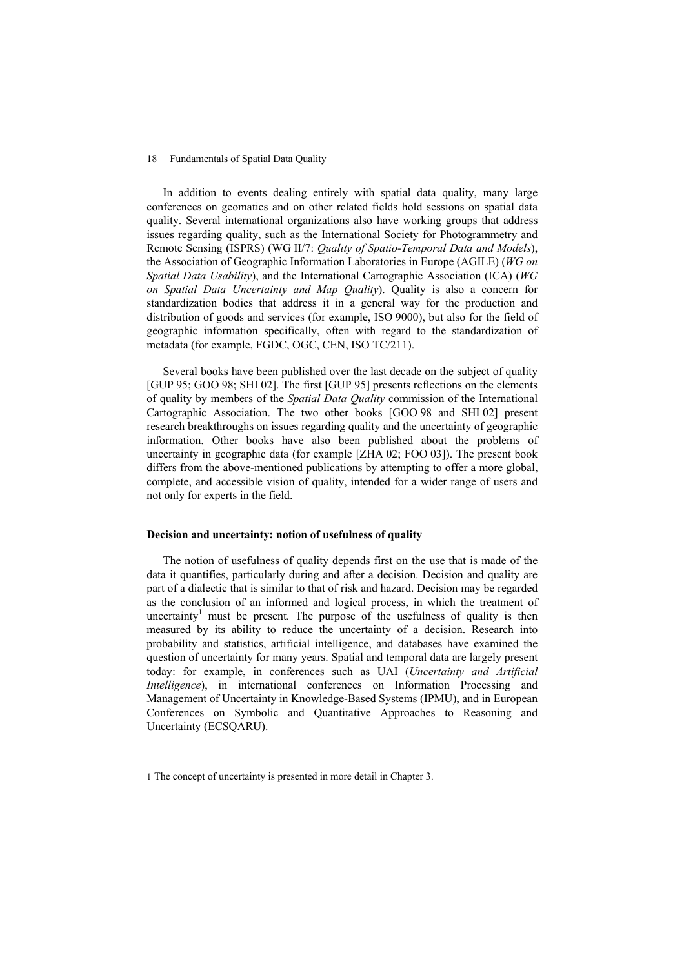In addition to events dealing entirely with spatial data quality, many large conferences on geomatics and on other related fields hold sessions on spatial data quality. Several international organizations also have working groups that address issues regarding quality, such as the International Society for Photogrammetry and Remote Sensing (ISPRS) (WG II/7: *Quality of Spatio-Temporal Data and Models*), the Association of Geographic Information Laboratories in Europe (AGILE) (*WG on Spatial Data Usability*), and the International Cartographic Association (ICA) (*WG on Spatial Data Uncertainty and Map Quality*). Quality is also a concern for standardization bodies that address it in a general way for the production and distribution of goods and services (for example, ISO 9000), but also for the field of geographic information specifically, often with regard to the standardization of metadata (for example, FGDC, OGC, CEN, ISO TC/211).

Several books have been published over the last decade on the subject of quality [GUP 95; GOO 98; SHI 02]. The first [GUP 95] presents reflections on the elements of quality by members of the *Spatial Data Quality* commission of the International Cartographic Association. The two other books [GOO 98 and SHI 02] present research breakthroughs on issues regarding quality and the uncertainty of geographic information. Other books have also been published about the problems of uncertainty in geographic data (for example [ZHA 02; FOO 03]). The present book differs from the above-mentioned publications by attempting to offer a more global, complete, and accessible vision of quality, intended for a wider range of users and not only for experts in the field.

#### **Decision and uncertainty: notion of usefulness of quality**

The notion of usefulness of quality depends first on the use that is made of the data it quantifies, particularly during and after a decision. Decision and quality are part of a dialectic that is similar to that of risk and hazard. Decision may be regarded as the conclusion of an informed and logical process, in which the treatment of uncertainty<sup>1</sup> must be present. The purpose of the usefulness of quality is then measured by its ability to reduce the uncertainty of a decision. Research into probability and statistics, artificial intelligence, and databases have examined the question of uncertainty for many years. Spatial and temporal data are largely present today: for example, in conferences such as UAI (*Uncertainty and Artificial Intelligence*), in international conferences on Information Processing and Management of Uncertainty in Knowledge-Based Systems (IPMU), and in European Conferences on Symbolic and Quantitative Approaches to Reasoning and Uncertainty (ECSQARU).

l

<sup>1</sup> The concept of uncertainty is presented in more detail in Chapter 3.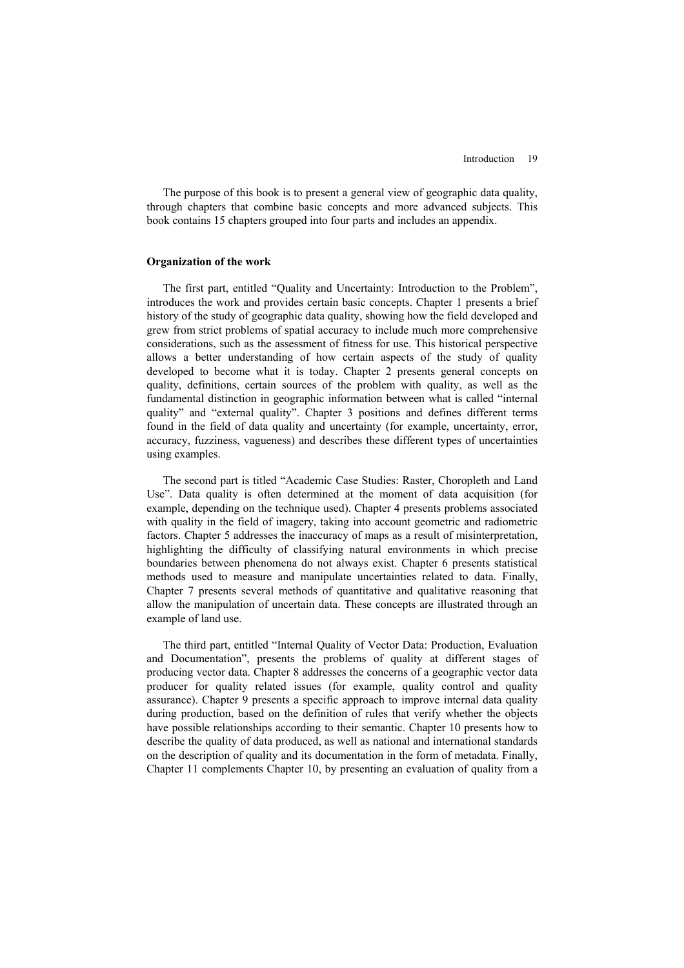The purpose of this book is to present a general view of geographic data quality, through chapters that combine basic concepts and more advanced subjects. This book contains 15 chapters grouped into four parts and includes an appendix.

#### **Organization of the work**

The first part, entitled "Quality and Uncertainty: Introduction to the Problem", introduces the work and provides certain basic concepts. Chapter 1 presents a brief history of the study of geographic data quality, showing how the field developed and grew from strict problems of spatial accuracy to include much more comprehensive considerations, such as the assessment of fitness for use. This historical perspective allows a better understanding of how certain aspects of the study of quality developed to become what it is today. Chapter 2 presents general concepts on quality, definitions, certain sources of the problem with quality, as well as the fundamental distinction in geographic information between what is called "internal quality" and "external quality". Chapter 3 positions and defines different terms found in the field of data quality and uncertainty (for example, uncertainty, error, accuracy, fuzziness, vagueness) and describes these different types of uncertainties using examples.

The second part is titled "Academic Case Studies: Raster, Choropleth and Land Use". Data quality is often determined at the moment of data acquisition (for example, depending on the technique used). Chapter 4 presents problems associated with quality in the field of imagery, taking into account geometric and radiometric factors. Chapter 5 addresses the inaccuracy of maps as a result of misinterpretation, highlighting the difficulty of classifying natural environments in which precise boundaries between phenomena do not always exist. Chapter 6 presents statistical methods used to measure and manipulate uncertainties related to data. Finally, Chapter 7 presents several methods of quantitative and qualitative reasoning that allow the manipulation of uncertain data. These concepts are illustrated through an example of land use.

The third part, entitled "Internal Quality of Vector Data: Production, Evaluation and Documentation", presents the problems of quality at different stages of producing vector data. Chapter 8 addresses the concerns of a geographic vector data producer for quality related issues (for example, quality control and quality assurance). Chapter 9 presents a specific approach to improve internal data quality during production, based on the definition of rules that verify whether the objects have possible relationships according to their semantic. Chapter 10 presents how to describe the quality of data produced, as well as national and international standards on the description of quality and its documentation in the form of metadata. Finally, Chapter 11 complements Chapter 10, by presenting an evaluation of quality from a